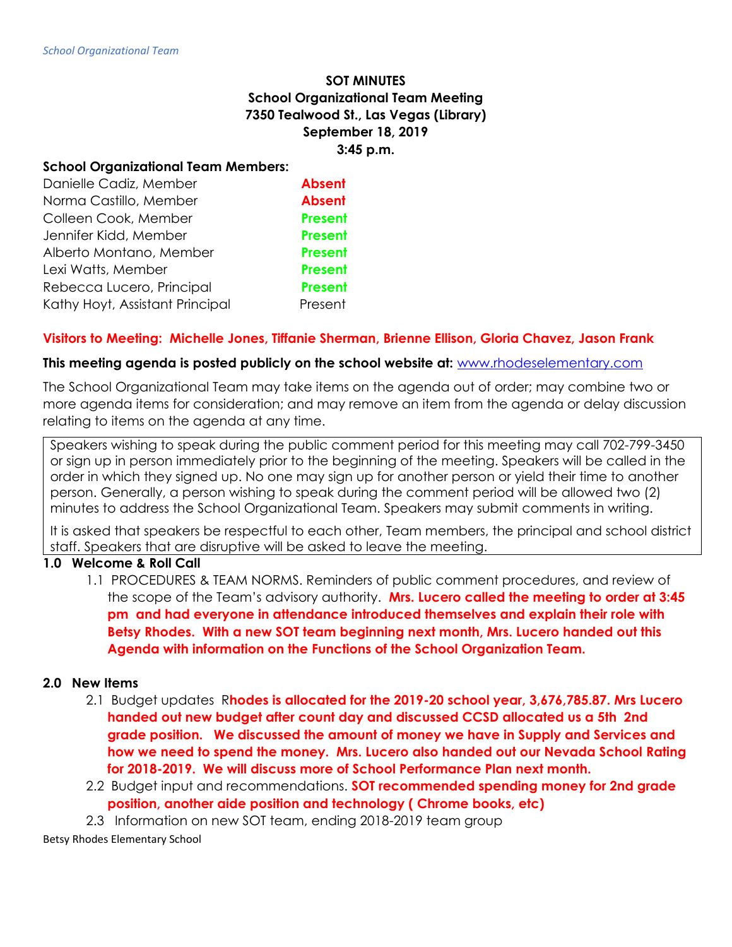# **SOT MINUTES School Organizational Team Meeting 7350 Tealwood St., Las Vegas (Library) September 18, 2019 3:45 p.m.**

#### **School Organizational Team Members:**

| Danielle Cadiz, Member          | <b>Absent</b>  |
|---------------------------------|----------------|
| Norma Castillo, Member          | <b>Absent</b>  |
| Colleen Cook, Member            | <b>Present</b> |
| Jennifer Kidd, Member           | <b>Present</b> |
| Alberto Montano, Member         | <b>Present</b> |
| Lexi Watts, Member              | <b>Present</b> |
| Rebecca Lucero, Principal       | <b>Present</b> |
| Kathy Hoyt, Assistant Principal | Present        |

# **Visitors to Meeting: Michelle Jones, Tiffanie Sherman, Brienne Ellison, Gloria Chavez, Jason Frank**

#### **This meeting agenda is posted publicly on the school website at:** [www.rhodeselementary.com](http://www.rhodeselementary.com/)

The School Organizational Team may take items on the agenda out of order; may combine two or more agenda items for consideration; and may remove an item from the agenda or delay discussion relating to items on the agenda at any time.

Speakers wishing to speak during the public comment period for this meeting may call 702-799-3450 or sign up in person immediately prior to the beginning of the meeting. Speakers will be called in the order in which they signed up. No one may sign up for another person or yield their time to another person. Generally, a person wishing to speak during the comment period will be allowed two (2) minutes to address the School Organizational Team. Speakers may submit comments in writing.

It is asked that speakers be respectful to each other, Team members, the principal and school district staff. Speakers that are disruptive will be asked to leave the meeting.

# **1.0 Welcome & Roll Call**

1.1 PROCEDURES & TEAM NORMS. Reminders of public comment procedures, and review of the scope of the Team's advisory authority. **Mrs. Lucero called the meeting to order at 3:45 pm and had everyone in attendance introduced themselves and explain their role with Betsy Rhodes. With a new SOT team beginning next month, Mrs. Lucero handed out this Agenda with information on the Functions of the School Organization Team.**

# **2.0 New Items**

- 2.1 Budget updates R**hodes is allocated for the 2019-20 school year, 3,676,785.87. Mrs Lucero handed out new budget after count day and discussed CCSD allocated us a 5th 2nd grade position. We discussed the amount of money we have in Supply and Services and how we need to spend the money. Mrs. Lucero also handed out our Nevada School Rating for 2018-2019. We will discuss more of School Performance Plan next month.**
- 2.2 Budget input and recommendations. **SOT recommended spending money for 2nd grade position, another aide position and technology ( Chrome books, etc)**
- 2.3 Information on new SOT team, ending 2018-2019 team group

Betsy Rhodes Elementary School